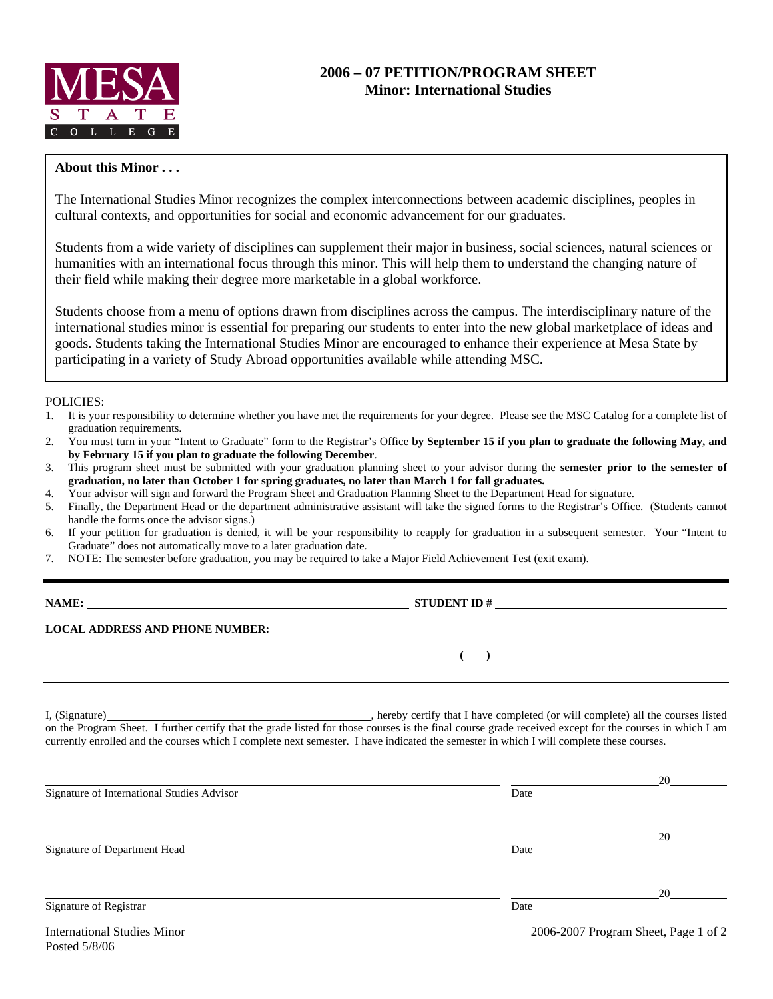

## **About this Minor . . .**

The International Studies Minor recognizes the complex interconnections between academic disciplines, peoples in cultural contexts, and opportunities for social and economic advancement for our graduates.

Students from a wide variety of disciplines can supplement their major in business, social sciences, natural sciences or humanities with an international focus through this minor. This will help them to understand the changing nature of their field while making their degree more marketable in a global workforce.

Students choose from a menu of options drawn from disciplines across the campus. The interdisciplinary nature of the international studies minor is essential for preparing our students to enter into the new global marketplace of ideas and goods. Students taking the International Studies Minor are encouraged to enhance their experience at Mesa State by participating in a variety of Study Abroad opportunities available while attending MSC.

POLICIES:

- 1. It is your responsibility to determine whether you have met the requirements for your degree. Please see the MSC Catalog for a complete list of graduation requirements.
- 2. You must turn in your "Intent to Graduate" form to the Registrar's Office **by September 15 if you plan to graduate the following May, and by February 15 if you plan to graduate the following December**.
- 3. This program sheet must be submitted with your graduation planning sheet to your advisor during the **semester prior to the semester of graduation, no later than October 1 for spring graduates, no later than March 1 for fall graduates.**
- 4. Your advisor will sign and forward the Program Sheet and Graduation Planning Sheet to the Department Head for signature.
- 5. Finally, the Department Head or the department administrative assistant will take the signed forms to the Registrar's Office. (Students cannot handle the forms once the advisor signs.)
- 6. If your petition for graduation is denied, it will be your responsibility to reapply for graduation in a subsequent semester. Your "Intent to Graduate" does not automatically move to a later graduation date.
- 7. NOTE: The semester before graduation, you may be required to take a Major Field Achievement Test (exit exam).

**NAME: STUDENT ID # STUDENT ID # STUDENT ID # STUDENT ID # STUDENT ID # STUDENT ID # STUDENT ID # STUDENT ID # STUDENT ID # STUDENT ID # STUDENT ID # STUDENT ID # STUDENT ID # STUDENT ID # STU** 

 **( )** 

**LOCAL ADDRESS AND PHONE NUMBER:**

I, (Signature) , hereby certify that I have completed (or will complete) all the courses listed on the Program Sheet. I further certify that the grade listed for those courses is the final course grade received except for the courses in which I am currently enrolled and the courses which I complete next semester. I have indicated the semester in which I will complete these courses.

|                                            |      | 20 |
|--------------------------------------------|------|----|
| Signature of International Studies Advisor | Date |    |
|                                            |      | 20 |
| Signature of Department Head               | Date |    |
|                                            |      | 20 |
| Signature of Registrar                     | Date |    |
|                                            |      |    |